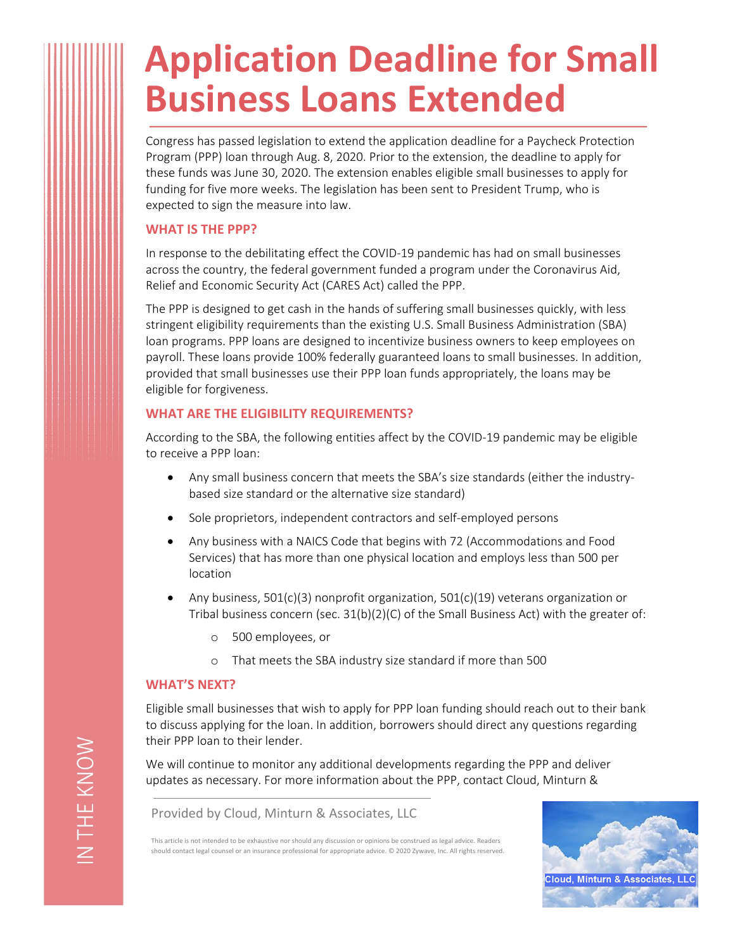# **Application Deadline for Small Business Loans Extended**

Congress has passed legislation to extend the application deadline for a Paycheck Protection Program (PPP) loan through Aug. 8, 2020. Prior to the extension, the deadline to apply for these funds was June 30, 2020. The extension enables eligible small businesses to apply for funding for five more weeks. The legislation has been sent to President Trump, who is expected to sign the measure into law.

#### **WHAT IS THE PPP?**

In response to the debilitating effect the COVID-19 pandemic has had on small businesses across the country, the federal government funded a program under the Coronavirus Aid, Relief and Economic Security Act (CARES Act) called the PPP.

The PPP is designed to get cash in the hands of suffering small businesses quickly, with less stringent eligibility requirements than the existing U.S. Small Business Administration (SBA) loan programs. PPP loans are designed to incentivize business owners to keep employees on payroll. These loans provide 100% federally guaranteed loans to small businesses. In addition, provided that small businesses use their PPP loan funds appropriately, the loans may be eligible for forgiveness.

### **WHAT ARE THE ELIGIBILITY REQUIREMENTS?**

According to the SBA, the following entities affect by the COVID-19 pandemic may be eligible to receive a PPP loan:

- Any small business concern that meets the SBA's size standards (either the industrybased size standard or the alternative size standard)
- Sole proprietors, independent contractors and self-employed persons
- Any business with a NAICS Code that begins with 72 (Accommodations and Food Services) that has more than one physical location and employs less than 500 per location
- Any business, 501(c)(3) nonprofit organization, 501(c)(19) veterans organization or Tribal business concern (sec.  $31(b)(2)(C)$  of the Small Business Act) with the greater of:
	- o 500 employees, or
	- o That meets the SBA industry size standard if more than 500

#### **WHAT'S NEXT?**

Eligible small businesses that wish to apply for PPP loan funding should reach out to their bank to discuss applying for the loan. In addition, borrowers should direct any questions regarding their PPP loan to their lender.

We will continue to monitor any additional developments regarding the PPP and deliver updates as necessary. For more information about the PPP, contact Cloud, Minturn &

Provided by Cloud, Minturn & Associates, LLC

This article is not intended to be exhaustive nor should any discussion or opinions be construed as legal advice. Readers should contact legal counsel or an insurance professional for appropriate advice. © 2020 Zywave, Inc. All rights reserved.